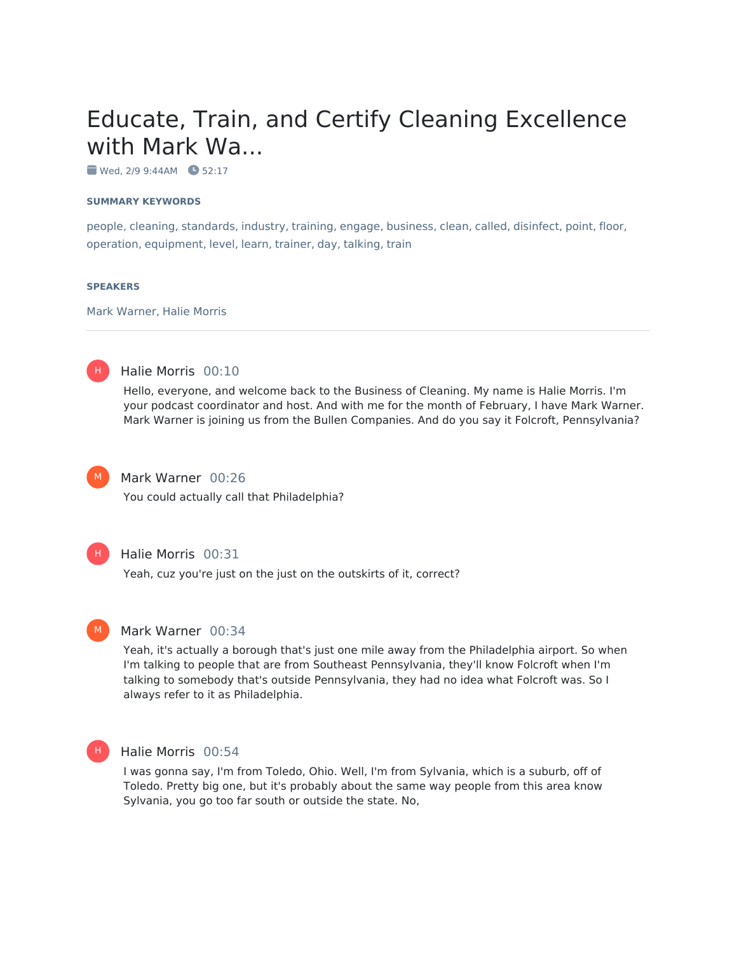# Educate, Train, and Certify Cleaning Excellence with Mark Wa...

Wed, 2/9 9:44AM **3** 52:17

#### **SUMMARY KEYWORDS**

people, cleaning, standards, industry, training, engage, business, clean, called, disinfect, point, floor, operation, equipment, level, learn, trainer, day, talking, train

#### **SPEAKERS**

Mark Warner, Halie Morris



#### Halie Morris 00:10

Hello, everyone, and welcome back to the Business of Cleaning. My name is Halie Morris. I'm your podcast coordinator and host. And with me for the month of February, I have Mark Warner. Mark Warner is joining us from the Bullen Companies. And do you say it Folcroft, Pennsylvania?



# Mark Warner 00:26

You could actually call that Philadelphia?



#### Halie Morris 00:31

Yeah, cuz you're just on the just on the outskirts of it, correct?



#### Mark Warner 00:34

Yeah, it's actually a borough that's just one mile away from the Philadelphia airport. So when I'm talking to people that are from Southeast Pennsylvania, they'll know Folcroft when I'm talking to somebody that's outside Pennsylvania, they had no idea what Folcroft was. So I always refer to it as Philadelphia.



### Halie Morris 00:54

I was gonna say, I'm from Toledo, Ohio. Well, I'm from Sylvania, which is a suburb, off of Toledo. Pretty big one, but it's probably about the same way people from this area know Sylvania, you go too far south or outside the state. No,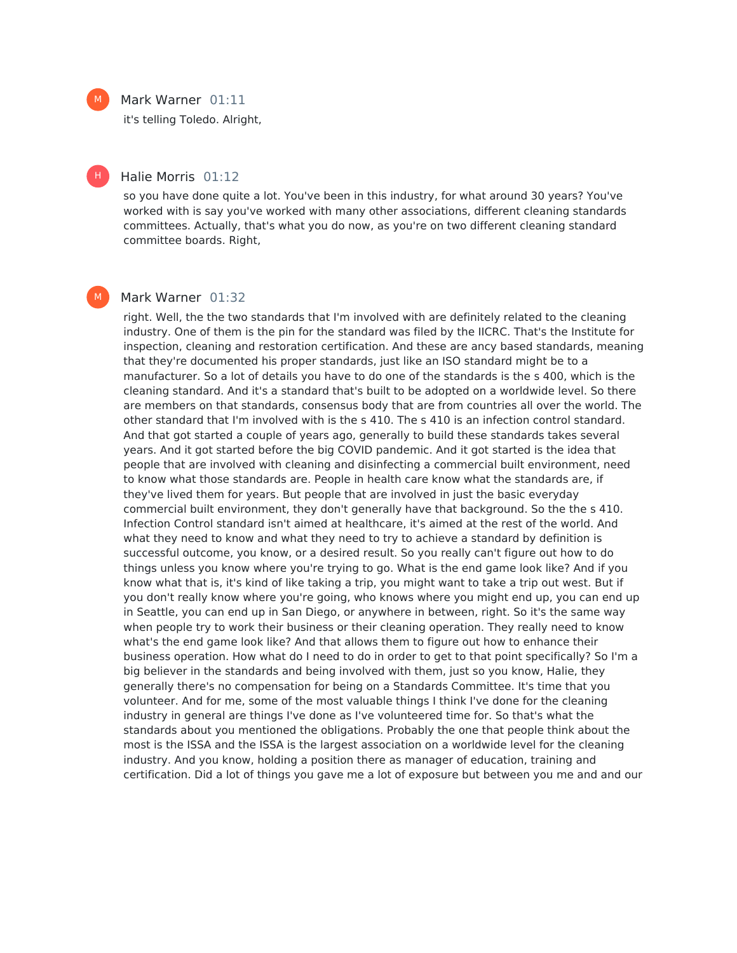### Mark Warner 01:11

it's telling Toledo. Alright,

#### Halie Morris 01:12

so you have done quite a lot. You've been in this industry, for what around 30 years? You've worked with is say you've worked with many other associations, different cleaning standards committees. Actually, that's what you do now, as you're on two different cleaning standard committee boards. Right,

## Mark Warner 01:32

right. Well, the the two standards that I'm involved with are definitely related to the cleaning industry. One of them is the pin for the standard was filed by the IICRC. That's the Institute for inspection, cleaning and restoration certification. And these are ancy based standards, meaning that they're documented his proper standards, just like an ISO standard might be to a manufacturer. So a lot of details you have to do one of the standards is the s 400, which is the cleaning standard. And it's a standard that's built to be adopted on a worldwide level. So there are members on that standards, consensus body that are from countries all over the world. The other standard that I'm involved with is the s 410. The s 410 is an infection control standard. And that got started a couple of years ago, generally to build these standards takes several years. And it got started before the big COVID pandemic. And it got started is the idea that people that are involved with cleaning and disinfecting a commercial built environment, need to know what those standards are. People in health care know what the standards are, if they've lived them for years. But people that are involved in just the basic everyday commercial built environment, they don't generally have that background. So the the s 410. Infection Control standard isn't aimed at healthcare, it's aimed at the rest of the world. And what they need to know and what they need to try to achieve a standard by definition is successful outcome, you know, or a desired result. So you really can't figure out how to do things unless you know where you're trying to go. What is the end game look like? And if you know what that is, it's kind of like taking a trip, you might want to take a trip out west. But if you don't really know where you're going, who knows where you might end up, you can end up in Seattle, you can end up in San Diego, or anywhere in between, right. So it's the same way when people try to work their business or their cleaning operation. They really need to know what's the end game look like? And that allows them to figure out how to enhance their business operation. How what do I need to do in order to get to that point specifically? So I'm a big believer in the standards and being involved with them, just so you know, Halie, they generally there's no compensation for being on a Standards Committee. It's time that you volunteer. And for me, some of the most valuable things I think I've done for the cleaning industry in general are things I've done as I've volunteered time for. So that's what the standards about you mentioned the obligations. Probably the one that people think about the most is the ISSA and the ISSA is the largest association on a worldwide level for the cleaning industry. And you know, holding a position there as manager of education, training and certification. Did a lot of things you gave me a lot of exposure but between you me and and our



H |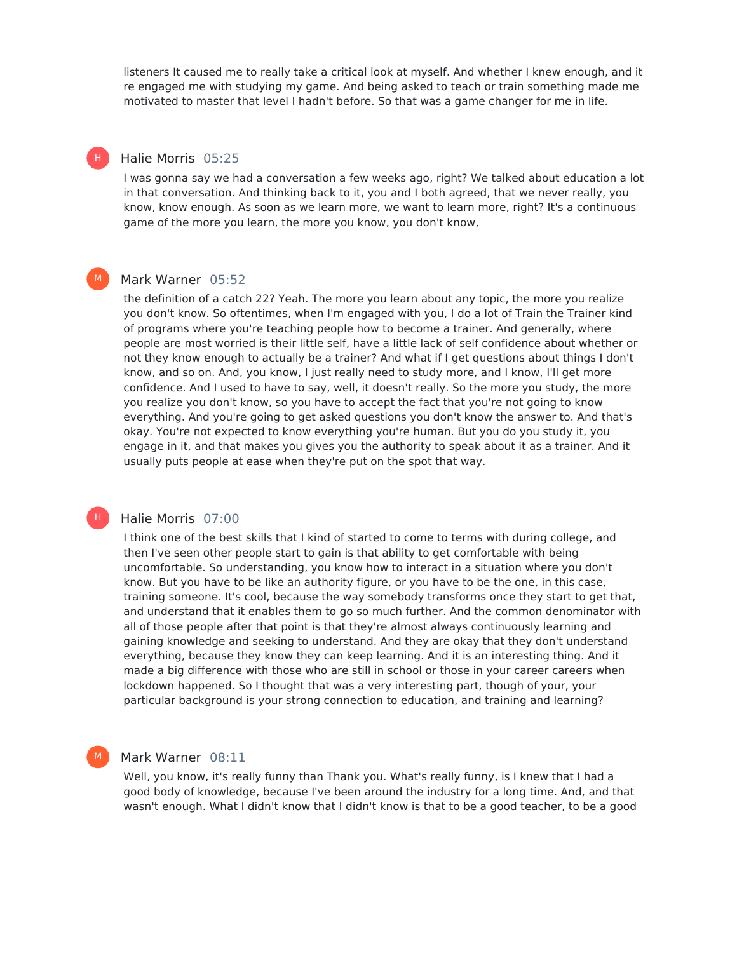listeners It caused me to really take a critical look at myself. And whether I knew enough, and it re engaged me with studying my game. And being asked to teach or train something made me motivated to master that level I hadn't before. So that was a game changer for me in life.

## Halie Morris 05:25

H |

 $M<sub>1</sub>$ 

H)

M

I was gonna say we had a conversation a few weeks ago, right? We talked about education a lot in that conversation. And thinking back to it, you and I both agreed, that we never really, you know, know enough. As soon as we learn more, we want to learn more, right? It's a continuous game of the more you learn, the more you know, you don't know,

#### Mark Warner 05:52

the definition of a catch 22? Yeah. The more you learn about any topic, the more you realize you don't know. So oftentimes, when I'm engaged with you, I do a lot of Train the Trainer kind of programs where you're teaching people how to become a trainer. And generally, where people are most worried is their little self, have a little lack of self confidence about whether or not they know enough to actually be a trainer? And what if I get questions about things I don't know, and so on. And, you know, I just really need to study more, and I know, I'll get more confidence. And I used to have to say, well, it doesn't really. So the more you study, the more you realize you don't know, so you have to accept the fact that you're not going to know everything. And you're going to get asked questions you don't know the answer to. And that's okay. You're not expected to know everything you're human. But you do you study it, you engage in it, and that makes you gives you the authority to speak about it as a trainer. And it usually puts people at ease when they're put on the spot that way.

## Halie Morris 07:00

I think one of the best skills that I kind of started to come to terms with during college, and then I've seen other people start to gain is that ability to get comfortable with being uncomfortable. So understanding, you know how to interact in a situation where you don't know. But you have to be like an authority figure, or you have to be the one, in this case, training someone. It's cool, because the way somebody transforms once they start to get that, and understand that it enables them to go so much further. And the common denominator with all of those people after that point is that they're almost always continuously learning and gaining knowledge and seeking to understand. And they are okay that they don't understand everything, because they know they can keep learning. And it is an interesting thing. And it made a big difference with those who are still in school or those in your career careers when lockdown happened. So I thought that was a very interesting part, though of your, your particular background is your strong connection to education, and training and learning?

#### Mark Warner 08:11

Well, you know, it's really funny than Thank you. What's really funny, is I knew that I had a good body of knowledge, because I've been around the industry for a long time. And, and that wasn't enough. What I didn't know that I didn't know is that to be a good teacher, to be a good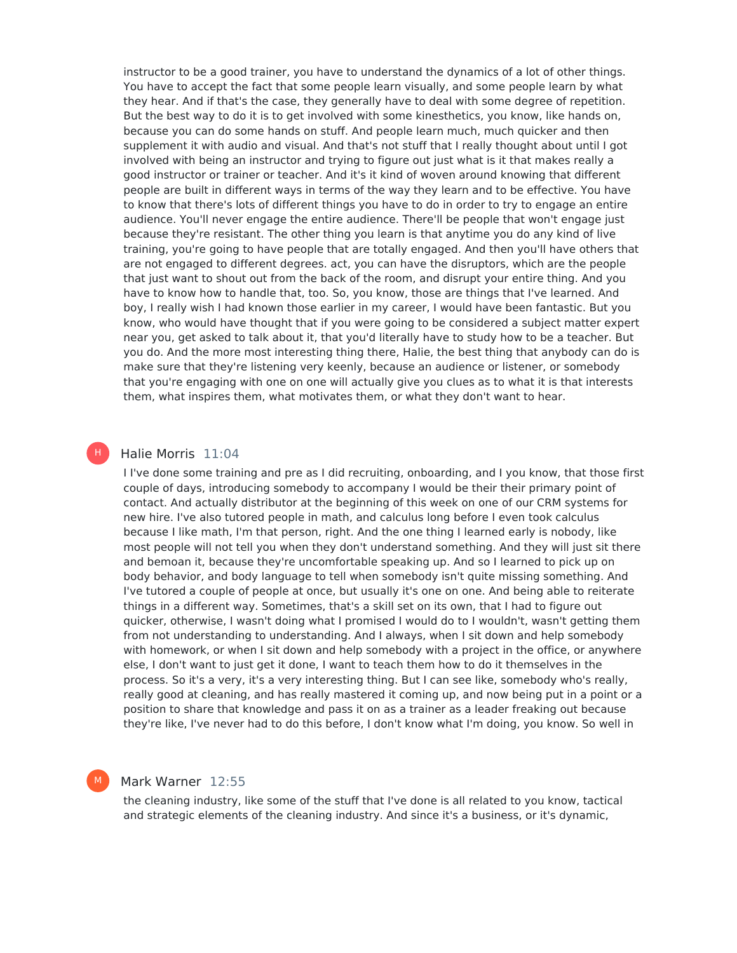instructor to be a good trainer, you have to understand the dynamics of a lot of other things. You have to accept the fact that some people learn visually, and some people learn by what they hear. And if that's the case, they generally have to deal with some degree of repetition. But the best way to do it is to get involved with some kinesthetics, you know, like hands on, because you can do some hands on stuff. And people learn much, much quicker and then supplement it with audio and visual. And that's not stuff that I really thought about until I got involved with being an instructor and trying to figure out just what is it that makes really a good instructor or trainer or teacher. And it's it kind of woven around knowing that different people are built in different ways in terms of the way they learn and to be effective. You have to know that there's lots of different things you have to do in order to try to engage an entire audience. You'll never engage the entire audience. There'll be people that won't engage just because they're resistant. The other thing you learn is that anytime you do any kind of live training, you're going to have people that are totally engaged. And then you'll have others that are not engaged to different degrees. act, you can have the disruptors, which are the people that just want to shout out from the back of the room, and disrupt your entire thing. And you have to know how to handle that, too. So, you know, those are things that I've learned. And boy, I really wish I had known those earlier in my career, I would have been fantastic. But you know, who would have thought that if you were going to be considered a subject matter expert near you, get asked to talk about it, that you'd literally have to study how to be a teacher. But you do. And the more most interesting thing there, Halie, the best thing that anybody can do is make sure that they're listening very keenly, because an audience or listener, or somebody that you're engaging with one on one will actually give you clues as to what it is that interests them, what inspires them, what motivates them, or what they don't want to hear.

#### Halie Morris 11:04

H |

M

I I've done some training and pre as I did recruiting, onboarding, and I you know, that those first couple of days, introducing somebody to accompany I would be their their primary point of contact. And actually distributor at the beginning of this week on one of our CRM systems for new hire. I've also tutored people in math, and calculus long before I even took calculus because I like math, I'm that person, right. And the one thing I learned early is nobody, like most people will not tell you when they don't understand something. And they will just sit there and bemoan it, because they're uncomfortable speaking up. And so I learned to pick up on body behavior, and body language to tell when somebody isn't quite missing something. And I've tutored a couple of people at once, but usually it's one on one. And being able to reiterate things in a different way. Sometimes, that's a skill set on its own, that I had to figure out quicker, otherwise, I wasn't doing what I promised I would do to I wouldn't, wasn't getting them from not understanding to understanding. And I always, when I sit down and help somebody with homework, or when I sit down and help somebody with a project in the office, or anywhere else, I don't want to just get it done, I want to teach them how to do it themselves in the process. So it's a very, it's a very interesting thing. But I can see like, somebody who's really, really good at cleaning, and has really mastered it coming up, and now being put in a point or a position to share that knowledge and pass it on as a trainer as a leader freaking out because they're like, I've never had to do this before, I don't know what I'm doing, you know. So well in

# Mark Warner 12:55

the cleaning industry, like some of the stuff that I've done is all related to you know, tactical and strategic elements of the cleaning industry. And since it's a business, or it's dynamic,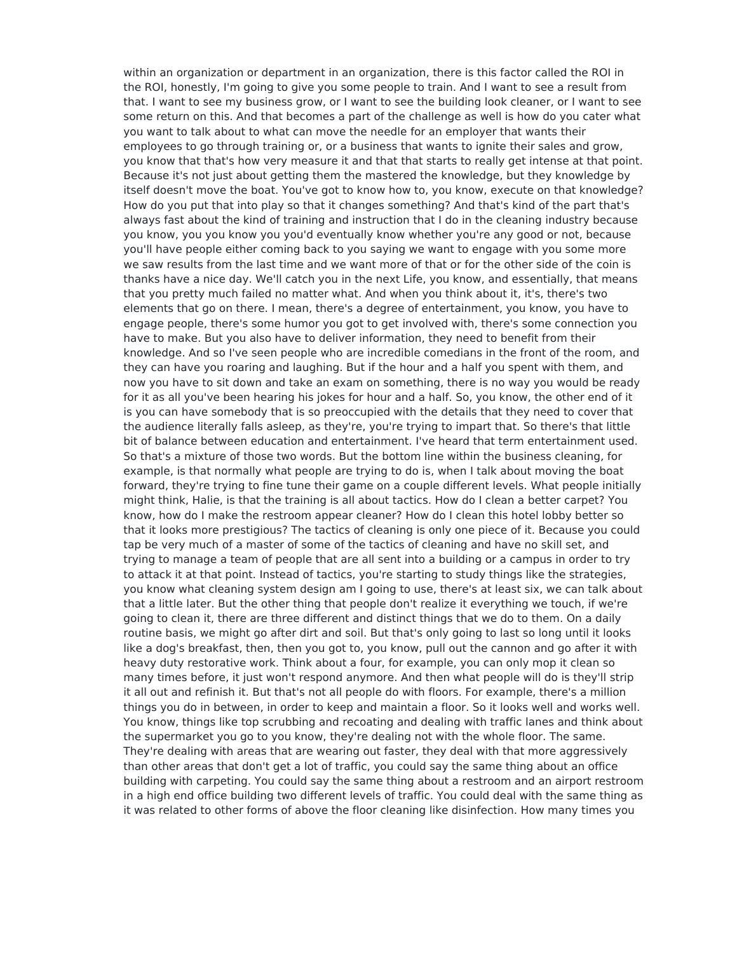within an organization or department in an organization, there is this factor called the ROI in the ROI, honestly, I'm going to give you some people to train. And I want to see a result from that. I want to see my business grow, or I want to see the building look cleaner, or I want to see some return on this. And that becomes a part of the challenge as well is how do you cater what you want to talk about to what can move the needle for an employer that wants their employees to go through training or, or a business that wants to ignite their sales and grow, you know that that's how very measure it and that that starts to really get intense at that point. Because it's not just about getting them the mastered the knowledge, but they knowledge by itself doesn't move the boat. You've got to know how to, you know, execute on that knowledge? How do you put that into play so that it changes something? And that's kind of the part that's always fast about the kind of training and instruction that I do in the cleaning industry because you know, you you know you you'd eventually know whether you're any good or not, because you'll have people either coming back to you saying we want to engage with you some more we saw results from the last time and we want more of that or for the other side of the coin is thanks have a nice day. We'll catch you in the next Life, you know, and essentially, that means that you pretty much failed no matter what. And when you think about it, it's, there's two elements that go on there. I mean, there's a degree of entertainment, you know, you have to engage people, there's some humor you got to get involved with, there's some connection you have to make. But you also have to deliver information, they need to benefit from their knowledge. And so I've seen people who are incredible comedians in the front of the room, and they can have you roaring and laughing. But if the hour and a half you spent with them, and now you have to sit down and take an exam on something, there is no way you would be ready for it as all you've been hearing his jokes for hour and a half. So, you know, the other end of it is you can have somebody that is so preoccupied with the details that they need to cover that the audience literally falls asleep, as they're, you're trying to impart that. So there's that little bit of balance between education and entertainment. I've heard that term entertainment used. So that's a mixture of those two words. But the bottom line within the business cleaning, for example, is that normally what people are trying to do is, when I talk about moving the boat forward, they're trying to fine tune their game on a couple different levels. What people initially might think, Halie, is that the training is all about tactics. How do I clean a better carpet? You know, how do I make the restroom appear cleaner? How do I clean this hotel lobby better so that it looks more prestigious? The tactics of cleaning is only one piece of it. Because you could tap be very much of a master of some of the tactics of cleaning and have no skill set, and trying to manage a team of people that are all sent into a building or a campus in order to try to attack it at that point. Instead of tactics, you're starting to study things like the strategies, you know what cleaning system design am I going to use, there's at least six, we can talk about that a little later. But the other thing that people don't realize it everything we touch, if we're going to clean it, there are three different and distinct things that we do to them. On a daily routine basis, we might go after dirt and soil. But that's only going to last so long until it looks like a dog's breakfast, then, then you got to, you know, pull out the cannon and go after it with heavy duty restorative work. Think about a four, for example, you can only mop it clean so many times before, it just won't respond anymore. And then what people will do is they'll strip it all out and refinish it. But that's not all people do with floors. For example, there's a million things you do in between, in order to keep and maintain a floor. So it looks well and works well. You know, things like top scrubbing and recoating and dealing with traffic lanes and think about the supermarket you go to you know, they're dealing not with the whole floor. The same. They're dealing with areas that are wearing out faster, they deal with that more aggressively than other areas that don't get a lot of traffic, you could say the same thing about an office building with carpeting. You could say the same thing about a restroom and an airport restroom in a high end office building two different levels of traffic. You could deal with the same thing as it was related to other forms of above the floor cleaning like disinfection. How many times you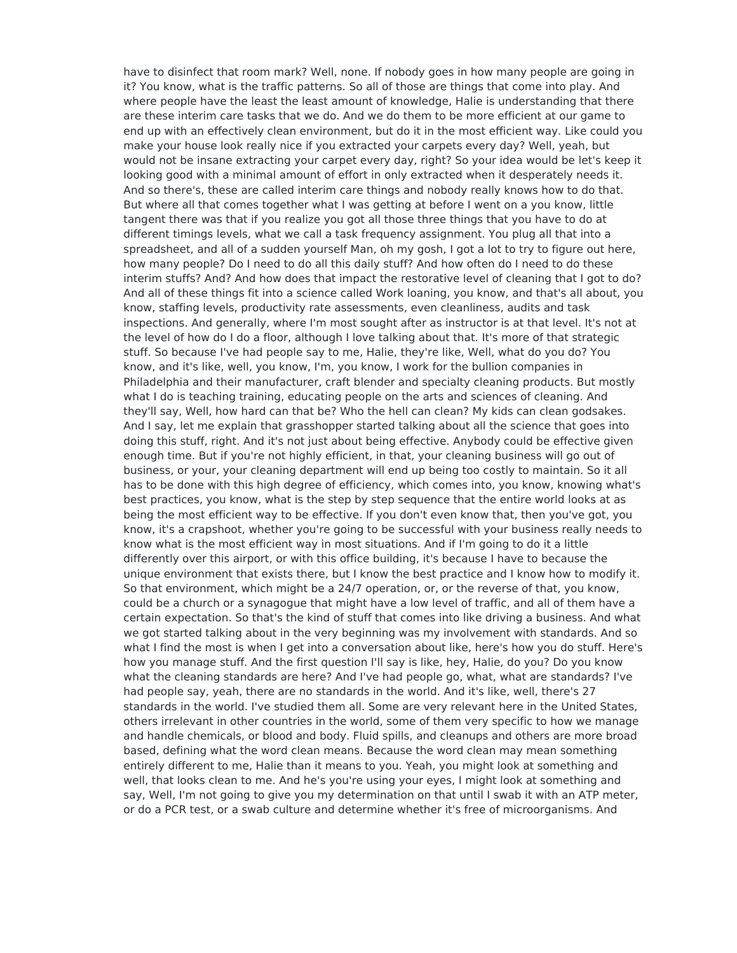have to disinfect that room mark? Well, none. If nobody goes in how many people are going in it? You know, what is the traffic patterns. So all of those are things that come into play. And where people have the least the least amount of knowledge, Halie is understanding that there are these interim care tasks that we do. And we do them to be more efficient at our game to end up with an effectively clean environment, but do it in the most efficient way. Like could you make your house look really nice if you extracted your carpets every day? Well, yeah, but would not be insane extracting your carpet every day, right? So your idea would be let's keep it looking good with a minimal amount of effort in only extracted when it desperately needs it. And so there's, these are called interim care things and nobody really knows how to do that. But where all that comes together what I was getting at before I went on a you know, little tangent there was that if you realize you got all those three things that you have to do at different timings levels, what we call a task frequency assignment. You plug all that into a spreadsheet, and all of a sudden yourself Man, oh my gosh, I got a lot to try to figure out here, how many people? Do I need to do all this daily stuff? And how often do I need to do these interim stuffs? And? And how does that impact the restorative level of cleaning that I got to do? And all of these things fit into a science called Work loaning, you know, and that's all about, you know, staffing levels, productivity rate assessments, even cleanliness, audits and task inspections. And generally, where I'm most sought after as instructor is at that level. It's not at the level of how do I do a floor, although I love talking about that. It's more of that strategic stuff. So because I've had people say to me, Halie, they're like, Well, what do you do? You know, and it's like, well, you know, I'm, you know, I work for the bullion companies in Philadelphia and their manufacturer, craft blender and specialty cleaning products. But mostly what I do is teaching training, educating people on the arts and sciences of cleaning. And they'll say, Well, how hard can that be? Who the hell can clean? My kids can clean godsakes. And I say, let me explain that grasshopper started talking about all the science that goes into doing this stuff, right. And it's not just about being effective. Anybody could be effective given enough time. But if you're not highly efficient, in that, your cleaning business will go out of business, or your, your cleaning department will end up being too costly to maintain. So it all has to be done with this high degree of efficiency, which comes into, you know, knowing what's best practices, you know, what is the step by step sequence that the entire world looks at as being the most efficient way to be effective. If you don't even know that, then you've got, you know, it's a crapshoot, whether you're going to be successful with your business really needs to know what is the most efficient way in most situations. And if I'm going to do it a little differently over this airport, or with this office building, it's because I have to because the unique environment that exists there, but I know the best practice and I know how to modify it. So that environment, which might be a 24/7 operation, or, or the reverse of that, you know, could be a church or a synagogue that might have a low level of traffic, and all of them have a certain expectation. So that's the kind of stuff that comes into like driving a business. And what we got started talking about in the very beginning was my involvement with standards. And so what I find the most is when I get into a conversation about like, here's how you do stuff. Here's how you manage stuff. And the first question I'll say is like, hey, Halie, do you? Do you know what the cleaning standards are here? And I've had people go, what, what are standards? I've had people say, yeah, there are no standards in the world. And it's like, well, there's 27 standards in the world. I've studied them all. Some are very relevant here in the United States, others irrelevant in other countries in the world, some of them very specific to how we manage and handle chemicals, or blood and body. Fluid spills, and cleanups and others are more broad based, defining what the word clean means. Because the word clean may mean something entirely different to me, Halie than it means to you. Yeah, you might look at something and well, that looks clean to me. And he's you're using your eyes, I might look at something and say, Well, I'm not going to give you my determination on that until I swab it with an ATP meter, or do a PCR test, or a swab culture and determine whether it's free of microorganisms. And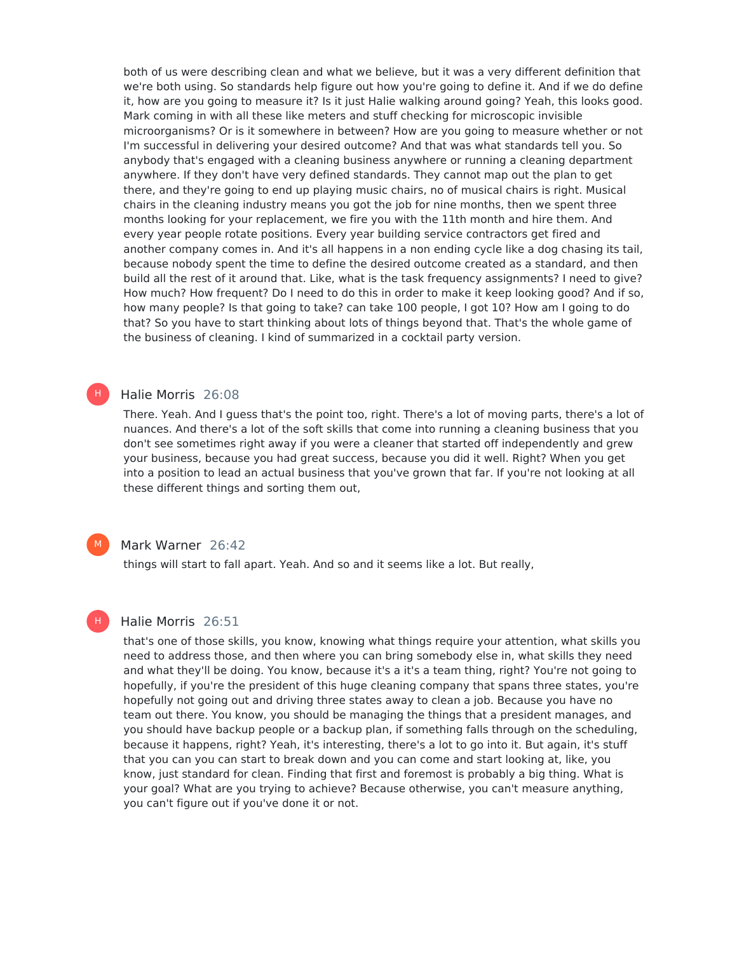both of us were describing clean and what we believe, but it was a very different definition that we're both using. So standards help figure out how you're going to define it. And if we do define it, how are you going to measure it? Is it just Halie walking around going? Yeah, this looks good. Mark coming in with all these like meters and stuff checking for microscopic invisible microorganisms? Or is it somewhere in between? How are you going to measure whether or not I'm successful in delivering your desired outcome? And that was what standards tell you. So anybody that's engaged with a cleaning business anywhere or running a cleaning department anywhere. If they don't have very defined standards. They cannot map out the plan to get there, and they're going to end up playing music chairs, no of musical chairs is right. Musical chairs in the cleaning industry means you got the job for nine months, then we spent three months looking for your replacement, we fire you with the 11th month and hire them. And every year people rotate positions. Every year building service contractors get fired and another company comes in. And it's all happens in a non ending cycle like a dog chasing its tail, because nobody spent the time to define the desired outcome created as a standard, and then build all the rest of it around that. Like, what is the task frequency assignments? I need to give? How much? How frequent? Do I need to do this in order to make it keep looking good? And if so, how many people? Is that going to take? can take 100 people, I got 10? How am I going to do that? So you have to start thinking about lots of things beyond that. That's the whole game of the business of cleaning. I kind of summarized in a cocktail party version.

## Halie Morris 26:08

H)

 $M_{\odot}$ 

H

There. Yeah. And I guess that's the point too, right. There's a lot of moving parts, there's a lot of nuances. And there's a lot of the soft skills that come into running a cleaning business that you don't see sometimes right away if you were a cleaner that started off independently and grew your business, because you had great success, because you did it well. Right? When you get into a position to lead an actual business that you've grown that far. If you're not looking at all these different things and sorting them out,

## Mark Warner 26:42

things will start to fall apart. Yeah. And so and it seems like a lot. But really,

# Halie Morris 26:51

that's one of those skills, you know, knowing what things require your attention, what skills you need to address those, and then where you can bring somebody else in, what skills they need and what they'll be doing. You know, because it's a it's a team thing, right? You're not going to hopefully, if you're the president of this huge cleaning company that spans three states, you're hopefully not going out and driving three states away to clean a job. Because you have no team out there. You know, you should be managing the things that a president manages, and you should have backup people or a backup plan, if something falls through on the scheduling, because it happens, right? Yeah, it's interesting, there's a lot to go into it. But again, it's stuff that you can you can start to break down and you can come and start looking at, like, you know, just standard for clean. Finding that first and foremost is probably a big thing. What is your goal? What are you trying to achieve? Because otherwise, you can't measure anything, you can't figure out if you've done it or not.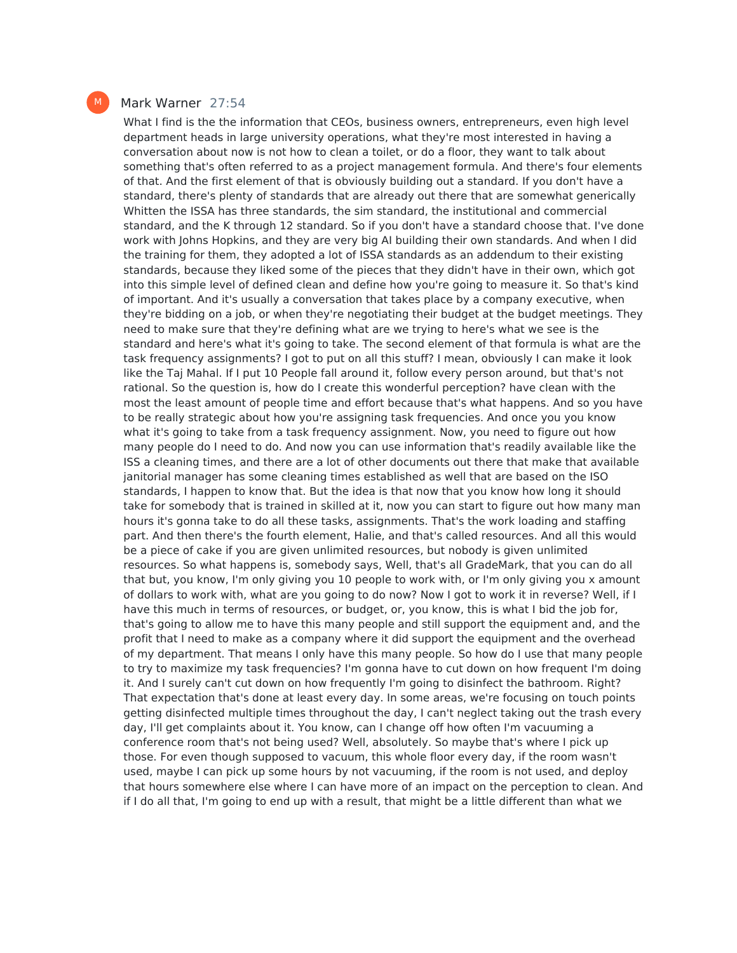#### Mark Warner 27:54

What I find is the the information that CEOs, business owners, entrepreneurs, even high level department heads in large university operations, what they're most interested in having a conversation about now is not how to clean a toilet, or do a floor, they want to talk about something that's often referred to as a project management formula. And there's four elements of that. And the first element of that is obviously building out a standard. If you don't have a standard, there's plenty of standards that are already out there that are somewhat generically Whitten the ISSA has three standards, the sim standard, the institutional and commercial standard, and the K through 12 standard. So if you don't have a standard choose that. I've done work with Johns Hopkins, and they are very big AI building their own standards. And when I did the training for them, they adopted a lot of ISSA standards as an addendum to their existing standards, because they liked some of the pieces that they didn't have in their own, which got into this simple level of defined clean and define how you're going to measure it. So that's kind of important. And it's usually a conversation that takes place by a company executive, when they're bidding on a job, or when they're negotiating their budget at the budget meetings. They need to make sure that they're defining what are we trying to here's what we see is the standard and here's what it's going to take. The second element of that formula is what are the task frequency assignments? I got to put on all this stuff? I mean, obviously I can make it look like the Taj Mahal. If I put 10 People fall around it, follow every person around, but that's not rational. So the question is, how do I create this wonderful perception? have clean with the most the least amount of people time and effort because that's what happens. And so you have to be really strategic about how you're assigning task frequencies. And once you you know what it's going to take from a task frequency assignment. Now, you need to figure out how many people do I need to do. And now you can use information that's readily available like the ISS a cleaning times, and there are a lot of other documents out there that make that available janitorial manager has some cleaning times established as well that are based on the ISO standards, I happen to know that. But the idea is that now that you know how long it should take for somebody that is trained in skilled at it, now you can start to figure out how many man hours it's gonna take to do all these tasks, assignments. That's the work loading and staffing part. And then there's the fourth element, Halie, and that's called resources. And all this would be a piece of cake if you are given unlimited resources, but nobody is given unlimited resources. So what happens is, somebody says, Well, that's all GradeMark, that you can do all that but, you know, I'm only giving you 10 people to work with, or I'm only giving you x amount of dollars to work with, what are you going to do now? Now Igot to work it in reverse? Well, if I have this much in terms of resources, or budget, or, you know, this is what I bid the job for, that's going to allow me to have this many people and still support the equipment and, and the profit that I need to make as a company where it did support the equipment and the overhead of my department. That means I only have this many people. So how do I use that many people to try to maximize my task frequencies? I'm gonna have to cut down on how frequent I'm doing it. And I surely can't cut down on how frequently I'm going to disinfect the bathroom. Right? That expectation that's done at least every day. In some areas, we're focusing on touch points getting disinfected multiple times throughout the day, I can't neglect taking out the trash every day, I'll get complaints about it. You know, can I change off how often I'm vacuuming a conference room that's not being used? Well, absolutely. So maybe that's where I pick up those. For even though supposed to vacuum, this whole floor every day, if the room wasn't used, maybe I can pick up some hours by not vacuuming, if the room is not used, and deploy that hours somewhere else where I can have more of an impact on the perception to clean. And if I do all that, I'm going to end up with a result, that might be a little different than what we

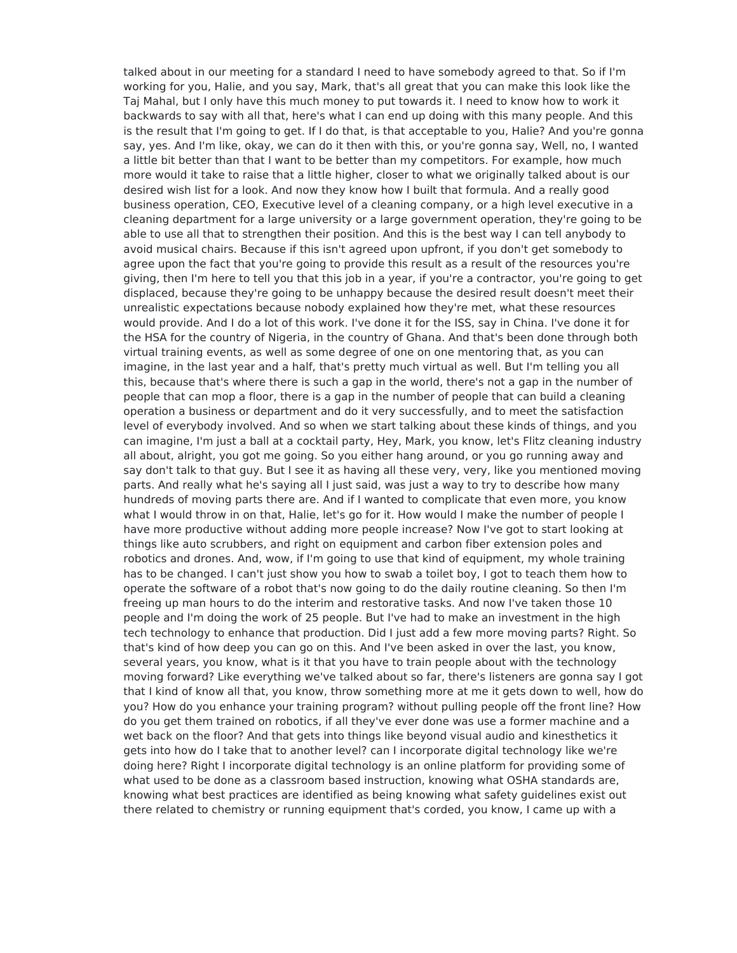talked about in our meeting for a standard I need to have somebody agreed to that. So if I'm working for you, Halie, and you say, Mark, that's all great that you can make this look like the Taj Mahal, but I only have this much money to put towards it. I need to know how to work it backwards to say with all that, here's what I can end up doing with this many people. And this is the result that I'm going to get. If I do that, is that acceptable to you, Halie? And you're gonna say, yes. And I'm like, okay, we can do it then with this, or you're gonna say, Well, no, I wanted a little bit better than that I want to be better than my competitors. For example, how much more would it take to raise that a little higher, closer to what we originally talked about is our desired wish list for a look. And now they know how Ibuilt that formula. And a really good business operation, CEO, Executive level of a cleaning company, or a high level executive in a cleaning department for a large university or a large government operation, they're going to be able to use all that to strengthen their position. And this is the best way I can tell anybody to avoid musical chairs. Because if this isn't agreed upon upfront, if you don't get somebody to agree upon the fact that you're going to provide this result as a result of the resources you're giving, then I'm here to tell you that this job in a year, if you're a contractor, you're going to get displaced, because they're going to be unhappy because the desired result doesn't meet their unrealistic expectations because nobody explained how they're met, what these resources would provide. And I do a lot of this work. I've done it for the ISS, say in China. I've done it for the HSA for the country of Nigeria, in the country of Ghana. And that's been done through both virtual training events, as well as some degree of one on one mentoring that, as you can imagine, in the last year and a half, that's pretty much virtual as well. But I'm telling you all this, because that's where there is such a gap in the world, there's not a gap in the number of people that can mop a floor, there is a gap in the number of people that can build a cleaning operation a business or department and do it very successfully, and to meet the satisfaction level of everybody involved. And so when we start talking about these kinds of things, and you can imagine, I'm just a ball at a cocktail party, Hey, Mark, you know, let's Flitz cleaning industry all about, alright, you got me going. So you either hang around, or you go running away and say don't talk to that guy. But I see it as having all these very, very, like you mentioned moving parts. And really what he's saying all I just said, was just a way to try to describe how many hundreds of moving parts there are. And if I wanted to complicate that even more, you know what I would throw in on that, Halie, let's go for it. How would I make the number of people I have more productive without adding more people increase? Now I've got to start looking at things like auto scrubbers, and right on equipment and carbon fiber extension poles and robotics and drones. And, wow, if I'm going to use that kind of equipment, my whole training has to be changed. I can't just show you how to swab a toilet boy, I got to teach them how to operate the software of a robot that's now going to do the daily routine cleaning. So then I'm freeing up man hours to do the interim and restorative tasks. And now I've taken those 10 people and I'm doing the work of 25 people. But I've had to make an investment in the high tech technology to enhance that production. Did I just add a few more moving parts? Right. So that's kind of how deep you can go on this. And I've been asked in over the last, you know, several years, you know, what is it that you have to train people about with the technology moving forward? Like everything we've talked about so far, there's listeners are gonna say I got that I kind of know all that, you know, throw something more at me it gets down to well, how do you? How do you enhance your training program? without pulling people off the front line? How do you get them trained on robotics, if all they've ever done was use a former machine and a wet back on the floor? And that gets into things like beyond visual audio and kinesthetics it gets into how do I take that to another level? can I incorporate digital technology like we're doing here? Right I incorporate digital technology is an online platform for providing some of what used to be done as a classroom based instruction, knowing what OSHA standards are, knowing what best practices are identified as being knowing what safety guidelines exist out there related to chemistry or running equipment that's corded, you know, I came up with a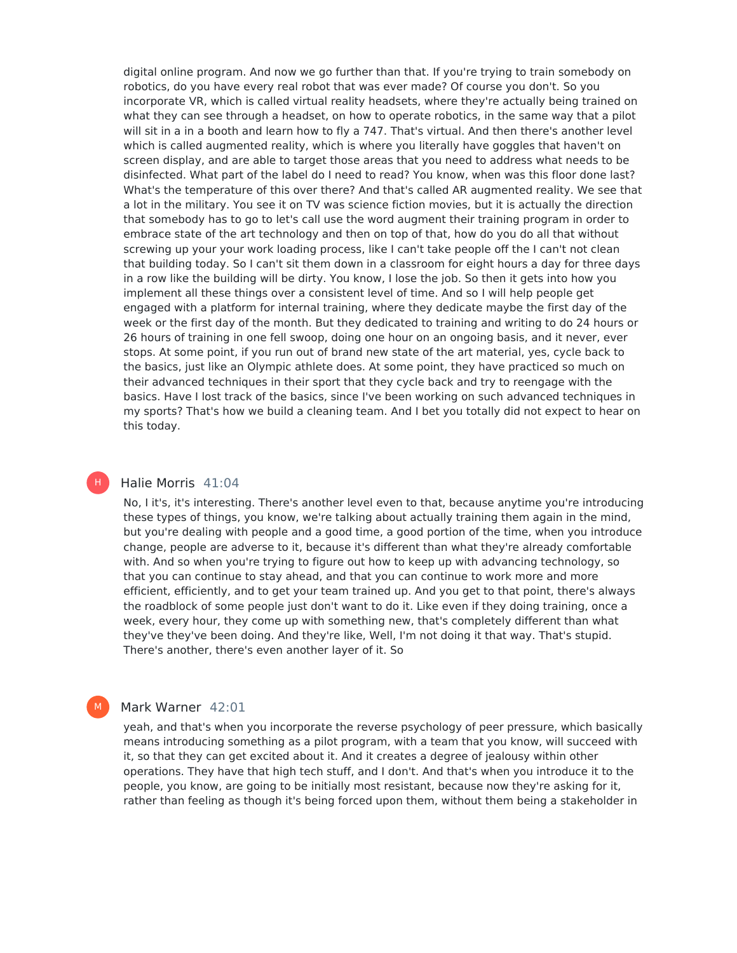digital online program. And now we go further than that. If you're trying to train somebody on robotics, do you have every real robot that was ever made? Of course you don't. So you incorporate VR, which is called virtual reality headsets, where they're actually being trained on what they can see through a headset, on how to operate robotics, in the same way that a pilot will sit in a in a booth and learn how to fly a 747. That's virtual. And then there's another level which is called augmented reality, which is where you literally have goggles that haven't on screen display, and are able to target those areas that you need to address what needs to be disinfected. What part of the label do I need to read? You know, when was this floor done last? What's the temperature of this over there? And that's called AR augmented reality. We see that a lot in the military. You see it on TV was science fiction movies, but it is actually the direction that somebody has to go to let's call use the word augment their training program in order to embrace state of the art technology and then on top of that, how do you do all that without screwing up your your work loading process, like I can't take people off the I can't not clean that building today. So I can't sit them down in a classroom for eight hours a day for three days in a row like the building will be dirty. You know, I lose the job. So then it gets into how you implement all these things over a consistent level of time. And so I will help people get engaged with a platform for internal training, where they dedicate maybe the first day of the week or the first day of the month. But they dedicated to training and writing to do 24 hours or 26 hours of training in one fell swoop, doing one hour on an ongoing basis, and it never, ever stops. At some point, if you run out of brand new state of the art material, yes, cycle back to the basics, just like an Olympic athlete does. At some point, they have practiced so much on their advanced techniques in their sport that they cycle back and try to reengage with the basics. Have I lost track of the basics, since I've been working on such advanced techniques in my sports? That's how we build a cleaning team. And I bet you totally did not expect to hear on this today.

### Halie Morris 41:04

H)

M

No, I it's, it's interesting. There's another level even to that, because anytime you're introducing these types of things, you know, we're talking about actually training them again in the mind, but you're dealing with people and a good time, a good portion of the time, when you introduce change, people are adverse to it, because it's different than what they're already comfortable with. And so when you're trying to figure out how to keep up with advancing technology, so that you can continue to stay ahead, and that you can continue to work more and more efficient, efficiently, and to get your team trained up. And you get to that point, there's always the roadblock of some people just don't want to do it. Like even if they doing training, once a week, every hour, they come up with something new, that's completely different than what they've they've been doing. And they're like, Well, I'm not doing it that way. That's stupid. There's another, there's even another layer of it. So

## Mark Warner 42:01

yeah, and that's when you incorporate the reverse psychology of peer pressure, which basically means introducing something as a pilot program, with a team that you know, will succeed with it, so that they can get excited about it. And it creates a degree of jealousy within other operations. They have that high tech stuff, and I don't. And that's when you introduce it to the people, you know, are going to be initially most resistant, because now they're asking for it, rather than feeling as though it's being forced upon them, without them being a stakeholder in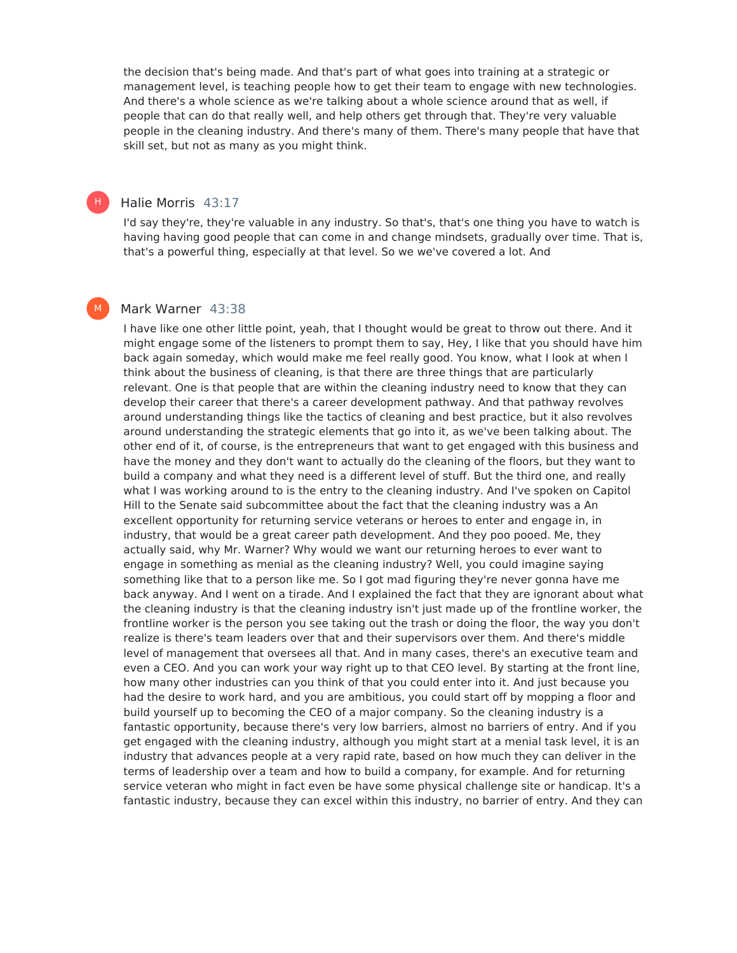the decision that's being made. And that's part of what goes into training at a strategic or management level, is teaching people how to get their team to engage with new technologies. And there's a whole science as we're talking about a whole science around that as well, if people that can do that really well, and help others get through that. They're very valuable people in the cleaning industry. And there's many of them. There's many people that have that skill set, but not as many as you might think.

#### Halie Morris 43:17

H |

M

I'd say they're, they're valuable in any industry. So that's, that's one thing you have to watch is having having good people that can come in and change mindsets, gradually over time. That is, that's a powerful thing, especially at that level. So we we've covered a lot. And

### Mark Warner 43:38

I have like one other little point, yeah, that I thought would be great to throw out there. And it might engage some of the listeners to prompt them to say, Hey, I like that you should have him back again someday, which would make me feel really good. You know, what I look at when I think about the business of cleaning, is that there are three things that are particularly relevant. One is that people that are within the cleaning industry need to know that they can develop their career that there's a career development pathway. And that pathway revolves around understanding things like the tactics of cleaning and best practice, but it also revolves around understanding the strategic elements that go into it, as we've been talking about. The other end of it, of course, is the entrepreneurs that want to get engaged with this business and have the money and they don't want to actually do the cleaning of the floors, but they want to build a company and what they need is a different level of stuff. But the third one, and really what I was working around to is the entry to the cleaning industry. And I've spoken on Capitol Hill to the Senate said subcommittee about the fact that the cleaning industry was a An excellent opportunity for returning service veterans or heroes to enter and engage in, in industry, that would be a great career path development. And they poo pooed. Me, they actually said, why Mr. Warner? Why would we want our returning heroes to ever want to engage in something as menial as the cleaning industry? Well, you could imagine saying something like that to a person like me. So I got mad figuring they're never gonna have me back anyway. And I went on a tirade. And I explained the fact that they are ignorant about what the cleaning industry is that the cleaning industry isn't just made up of the frontline worker, the frontline worker is the person you see taking out the trash or doing the floor, the way you don't realize is there's team leaders over that and their supervisors over them. And there's middle level of management that oversees all that. And in many cases, there's an executive team and even a CEO. And you can work your way right up to that CEO level. By starting at the front line, how many other industries can you think of that you could enter into it. And just because you had the desire to work hard, and you are ambitious, you could start off by mopping a floor and build yourself up to becoming the CEO of a major company. So the cleaning industry is a fantastic opportunity, because there's very low barriers, almost no barriers of entry. And if you get engaged with the cleaning industry, although you might start at a menial task level, it is an industry that advances people at a very rapid rate, based on how much they can deliver in the terms of leadership over a team and how to build a company, for example. And for returning service veteran who might in fact even be have some physical challenge site or handicap. It's a fantastic industry, because they can excel within this industry, no barrier of entry. And they can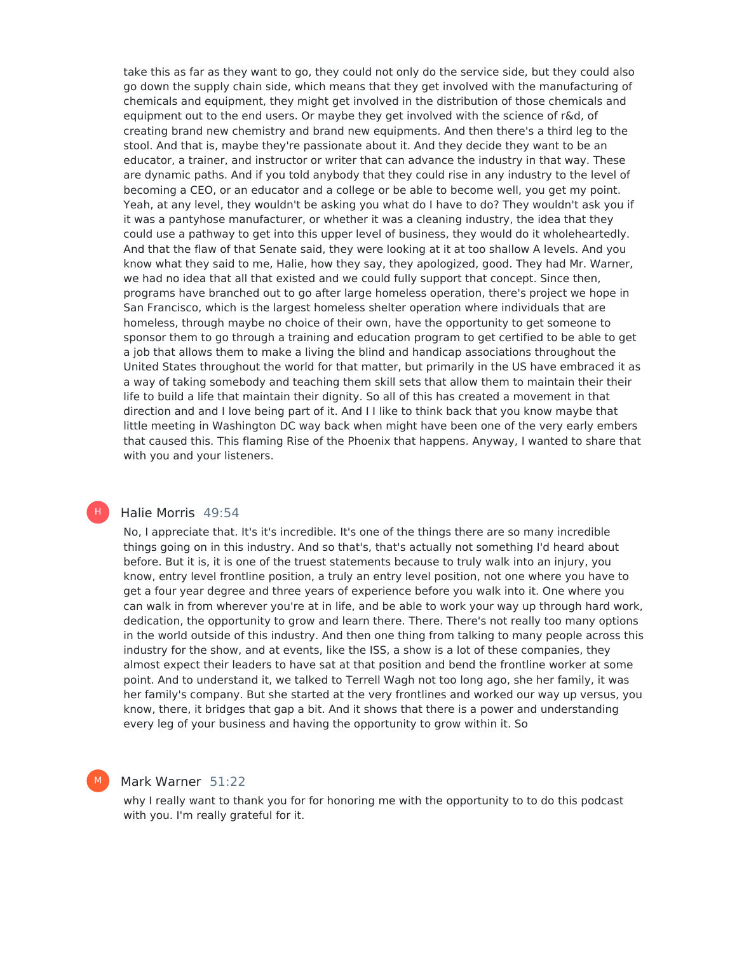take this as far as they want to go, they could not only do the service side, but they could also go down the supply chain side, which means that they get involved with the manufacturing of chemicals and equipment, they might get involved in the distribution of those chemicals and equipment out to the end users. Or maybe they get involved with the science of r&d, of creating brand new chemistry and brand new equipments. And then there's a third leg to the stool. And that is, maybe they're passionate about it. And they decide they want to be an educator, a trainer, and instructor or writer that can advance the industry in that way. These are dynamic paths. And if you told anybody that they could rise in any industry to the level of becoming a CEO, or an educator and a college or be able to become well, you get my point. Yeah, at any level, they wouldn't be asking you what do I have to do? They wouldn't ask you if it was a pantyhose manufacturer, or whether it was a cleaning industry, the idea that they could use a pathway to get into this upper level of business, they would do it wholeheartedly. And that the flaw of that Senate said, they were looking at it at too shallow A levels. And you know what they said to me, Halie, how they say, they apologized, good. They had Mr. Warner, we had no idea that all that existed and we could fully support that concept. Since then, programs have branched out to go after large homeless operation, there's project we hope in San Francisco, which is the largest homeless shelter operation where individuals that are homeless, through maybe no choice of their own, have the opportunity to get someone to sponsor them to go through a training and education program to get certified to be able to get a job that allows them to make a living the blind and handicap associations throughout the United States throughout the world for that matter, but primarily in the US have embraced it as a way of taking somebody and teaching them skill sets that allow them to maintain their their life to build a life that maintain their dignity. So all of this has created a movement in that direction and and I love being part of it. And I I like to think back that you know maybe that little meeting in Washington DC way back when might have been one of the very early embers that caused this. This flaming Rise of the Phoenix that happens. Anyway, I wanted to share that with you and your listeners.

### Halie Morris 49:54

H |

M

No, I appreciate that. It's it's incredible. It's one of the things there are so many incredible things going on in this industry. And so that's, that's actually not something I'd heard about before. But it is, it is one of the truest statements because to truly walk into an injury, you know, entry level frontline position, a truly an entry level position, not one where you have to get a four year degree and three years of experience before you walk into it. One where you can walk in from wherever you're at in life, and be able to work your way up through hard work, dedication, the opportunity to grow and learn there. There. There's not really too many options in the world outside of this industry. And then one thing from talking to many people across this industry for the show, and at events, like the ISS, a show is a lot of these companies, they almost expect their leaders to have sat at that position and bend the frontline worker at some point. And to understand it, we talked to Terrell Wagh not too long ago, she her family, it was her family's company. But she started at the very frontlines and worked our way up versus, you know, there, it bridges that gap a bit. And it shows that there is a power and understanding every leg of your business and having the opportunity to grow within it. So

## Mark Warner 51:22

why I really want to thank you for for honoring me with the opportunity to to do this podcast with you. I'm really grateful for it.